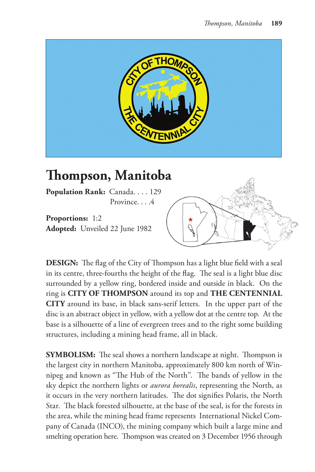

## **Thompson, Manitoba**

**Population Rank:** Canada. . . . 129 Province. . . .4

**Proportions:** 1:2 **Adopted:** Unveiled 22 June 1982



**DESIGN:** The flag of the City of Thompson has a light blue field with a seal in its centre, three-fourths the height of the flag. The seal is a light blue disc surrounded by a yellow ring, bordered inside and outside in black. On the ring is **CITY OF THOMPSON** around its top and **THE CENTENNIAL CITY** around its base, in black sans-serif letters. In the upper part of the disc is an abstract object in yellow, with a yellow dot at the centre top. At the base is a silhouette of a line of evergreen trees and to the right some building structures, including a mining head frame, all in black.

**SYMBOLISM:** The seal shows a northern landscape at night. Thompson is the largest city in northern Manitoba, approximately 800 km north of Winnipeg and known as "The Hub of the North". The bands of yellow in the sky depict the northern lights or *aurora borealis*, representing the North, as it occurs in the very northern latitudes. The dot signifies Polaris, the North Star. The black forested silhouette, at the base of the seal, is for the forests in the area, while the mining head frame represents International Nickel Company of Canada (INCO), the mining company which built a large mine and smelting operation here. Thompson was created on 3 December 1956 through